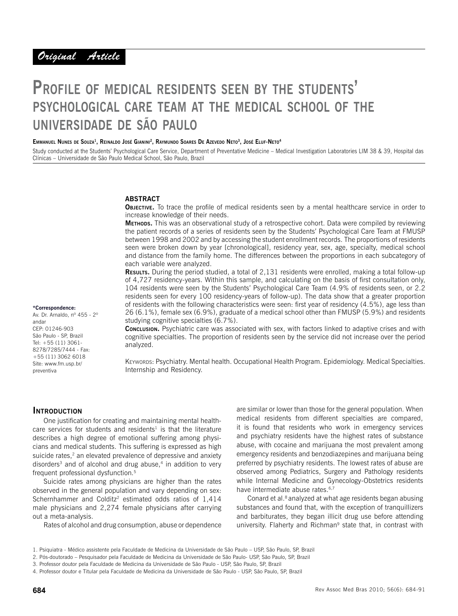

# **Profile of medical residents seen by the students' psychological care team at the medical school of the universidade de são paulo**

## **Emmanuel Nunes de Souza1, Reinaldo José Gianini2, Raymundo Soares De Azevedo Neto3, José Eluf-Neto4**

Study conducted at the Students' Psychological Care Service, Department of Preventative Medicine – Medical Investigation Laboratories LIM 38 & 39, Hospital das Clínicas – Universidade de São Paulo Medical School, São Paulo, Brazil

## **Abstract**

**Objective.** To trace the profile of medical residents seen by a mental healthcare service in order to increase knowledge of their needs.

**Methods.** This was an observational study of a retrospective cohort. Data were compiled by reviewing the patient records of a series of residents seen by the Students' Psychological Care Team at FMUSP between 1998 and 2002 and by accessing the student enrollment records. The proportions of residents seen were broken down by year [chronological], residency year, sex, age, specialty, medical school and distance from the family home. The differences between the proportions in each subcategory of each variable were analyzed.

**Results.** During the period studied, a total of 2,131 residents were enrolled, making a total follow-up of 4,727 residency-years. Within this sample, and calculating on the basis of first consultation only, 104 residents were seen by the Students' Psychological Care Team (4.9% of residents seen, or 2.2 residents seen for every 100 residency-years of follow-up). The data show that a greater proportion of residents with the following characteristics were seen: first year of residency (4.5%), age less than 26 (6.1%), female sex (6.9%), graduate of a medical school other than FMUSP (5.9%) and residents studying cognitive specialties (6.7%).

**Conclusion.** Psychiatric care was associated with sex, with factors linked to adaptive crises and with cognitive specialties. The proportion of residents seen by the service did not increase over the period analyzed.

Keywords: Psychiatry. Mental health. Occupational Health Program. Epidemiology. Medical Specialties. Internship and Residency.

## **Introduction**

One justification for creating and maintaining mental healthcare services for students and residents<sup>1</sup> is that the literature describes a high degree of emotional suffering among physicians and medical students. This suffering is expressed as high suicide rates,<sup>2</sup> an elevated prevalence of depressive and anxiety disorders<sup>3</sup> and of alcohol and drug abuse,<sup>4</sup> in addition to very frequent professional dysfunction.<sup>5</sup>

Suicide rates among physicians are higher than the rates observed in the general population and vary depending on sex: Schernhammer and Colditz<sup>2</sup> estimated odds ratios of 1,414 male physicians and 2,274 female physicians after carrying out a meta-analysis.

Rates of alcohol and drug consumption, abuse or dependence

are similar or lower than those for the general population. When medical residents from different specialties are compared, it is found that residents who work in emergency services and psychiatry residents have the highest rates of substance abuse, with cocaine and marijuana the most prevalent among emergency residents and benzodiazepines and marijuana being preferred by psychiatry residents. The lowest rates of abuse are observed among Pediatrics, Surgery and Pathology residents while Internal Medicine and Gynecology-Obstetrics residents have intermediate abuse rates.<sup>6,7</sup>

Conard et al.<sup>8</sup> analyzed at what age residents began abusing substances and found that, with the exception of tranquillizers and barbiturates, they began illicit drug use before attending university. Flaherty and Richman<sup>9</sup> state that, in contrast with

Av. Dr. Arnaldo, nº 455 - 2º andar CEP: 01246-903 São Paulo - SP, Brazil Tel: +55 (11) 3061- 8278/7285/7444 - Fax:  $+55$  (11) 3062 6018 Site: www.fm.usp.br/ preventiva

**\*Correspondence:** 

<sup>1.</sup> Psiquiatra - Médico assistente pela Faculdade de Medicina da Universidade de São Paulo – USP, São Paulo, SP, Brazil

<sup>2.</sup> Pós-doutorado – Pesquisador pela Faculdade de Medicina da Universidade de São Paulo- USP, São Paulo, SP, Brazil

<sup>3.</sup> Professor doutor pela Faculdade de Medicina da Universidade de São Paulo - USP, São Paulo, SP, Brazil

<sup>4.</sup> Professor doutor e Titular pela Faculdade de Medicina da Universidade de São Paulo - USP, São Paulo, SP, Brazil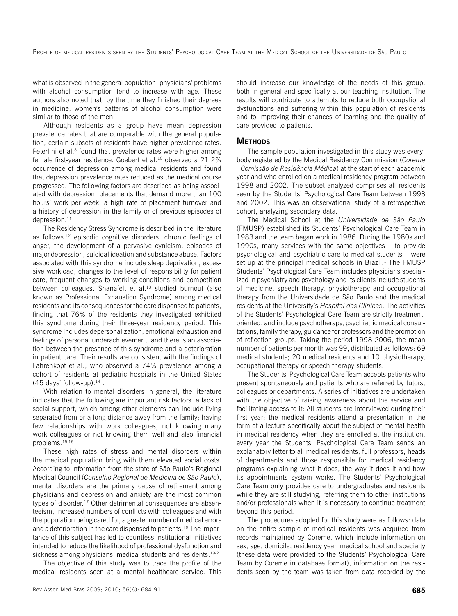Profile of medical residents seen by the Students' Psychological Care Team at the Medical School of the Universidade de São Paulo

what is observed in the general population, physicians' problems with alcohol consumption tend to increase with age. These authors also noted that, by the time they finished their degrees in medicine, women's patterns of alcohol consumption were similar to those of the men.

Although residents as a group have mean depression prevalence rates that are comparable with the general population, certain subsets of residents have higher prevalence rates. Peterlini et al.<sup>3</sup> found that prevalence rates were higher among female first-year residence. Goebert et al.<sup>10</sup> observed a 21.2% occurrence of depression among medical residents and found that depression prevalence rates reduced as the medical course progressed. The following factors are described as being associated with depression: placements that demand more than 100 hours' work per week, a high rate of placement turnover and a history of depression in the family or of previous episodes of depression. $11$ 

The Residency Stress Syndrome is described in the literature as follows:<sup>12</sup> episodic cognitive disorders, chronic feelings of anger, the development of a pervasive cynicism, episodes of major depression, suicidal ideation and substance abuse. Factors associated with this syndrome include sleep deprivation, excessive workload, changes to the level of responsibility for patient care, frequent changes to working conditions and competition between colleagues. Shanafelt et al.<sup>13</sup> studied burnout (also known as Professional Exhaustion Syndrome) among medical residents and its consequences for the care dispensed to patients, finding that 76% of the residents they investigated exhibited this syndrome during their three-year residency period. This syndrome includes depersonalization, emotional exhaustion and feelings of personal underachievement, and there is an association between the presence of this syndrome and a deterioration in patient care. Their results are consistent with the findings of Fahrenkopf et al., who observed a 74% prevalence among a cohort of residents at pediatric hospitals in the United States  $(45 \text{ days}^{\prime} \text{ follow-up})$ .<sup>14</sup>.

With relation to mental disorders in general, the literature indicates that the following are important risk factors: a lack of social support, which among other elements can include living separated from or a long distance away from the family; having few relationships with work colleagues, not knowing many work colleagues or not knowing them well and also financial problems.15,16

These high rates of stress and mental disorders within the medical population bring with them elevated social costs. According to information from the state of São Paulo's Regional Medical Council (*Conselho Regional de Medicina de São Paulo*), mental disorders are the primary cause of retirement among physicians and depression and anxiety are the most common types of disorder.17 Other detrimental consequences are absenteeism, increased numbers of conflicts with colleagues and with the population being cared for, a greater number of medical errors and a deterioration in the care dispensed to patients.<sup>18</sup> The importance of this subject has led to countless institutional initiatives intended to reduce the likelihood of professional dysfunction and sickness among physicians, medical students and residents.<sup>19-21</sup>

The objective of this study was to trace the profile of the medical residents seen at a mental healthcare service. This should increase our knowledge of the needs of this group, both in general and specifically at our teaching institution. The results will contribute to attempts to reduce both occupational dysfunctions and suffering within this population of residents and to improving their chances of learning and the quality of care provided to patients.

## **Methods**

The sample population investigated in this study was everybody registered by the Medical Residency Commission (*Coreme - Comissão de Residência Médica*) at the start of each academic year and who enrolled on a medical residency program between 1998 and 2002. The subset analyzed comprises all residents seen by the Students' Psychological Care Team between 1998 and 2002. This was an observational study of a retrospective cohort, analyzing secondary data.

The Medical School at the *Universidade de São Paulo* (FMUSP) established its Students' Psychological Care Team in 1983 and the team began work in 1986. During the 1980s and 1990s, many services with the same objectives – to provide psychological and psychiatric care to medical students – were set up at the principal medical schools in Brazil.<sup>1</sup> The FMUSP Students' Psychological Care Team includes physicians specialized in psychiatry and psychology and its clients include students of medicine, speech therapy, physiotherapy and occupational therapy from the Universidade de São Paulo and the medical residents at the University's *Hospital das Clínicas*. The activities of the Students' Psychological Care Team are strictly treatmentoriented, and include psychotherapy, psychiatric medical consultations, family therapy, guidance for professors and the promotion of reflection groups. Taking the period 1998-2006, the mean number of patients per month was 99, distributed as follows: 69 medical students; 20 medical residents and 10 physiotherapy, occupational therapy or speech therapy students.

The Students' Psychological Care Team accepts patients who present spontaneously and patients who are referred by tutors, colleagues or departments. A series of initiatives are undertaken with the objective of raising awareness about the service and facilitating access to it: All students are interviewed during their first year; the medical residents attend a presentation in the form of a lecture specifically about the subject of mental health in medical residency when they are enrolled at the institution; every year the Students' Psychological Care Team sends an explanatory letter to all medical residents, full professors, heads of departments and those responsible for medical residency programs explaining what it does, the way it does it and how its appointments system works. The Students' Psychological Care Team only provides care to undergraduates and residents while they are still studying, referring them to other institutions and/or professionals when it is necessary to continue treatment beyond this period.

The procedures adopted for this study were as follows: data on the entire sample of medical residents was acquired from records maintained by Coreme, which include information on sex, age, domicile, residency year, medical school and specialty (these data were provided to the Students' Psychological Care Team by Coreme in database format); information on the residents seen by the team was taken from data recorded by the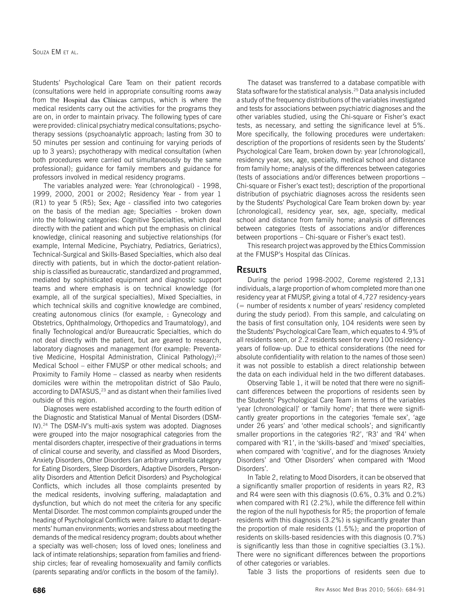Students' Psychological Care Team on their patient records (consultations were held in appropriate consulting rooms away from the Hospital das Clínicas campus, which is where the medical residents carry out the activities for the programs they are on, in order to maintain privacy. The following types of care were provided: clinical psychiatry medical consultations; psychotherapy sessions (psychoanalytic approach; lasting from 30 to 50 minutes per session and continuing for varying periods of up to 3 years); psychotherapy with medical consultation (when both procedures were carried out simultaneously by the same professional); guidance for family members and guidance for professors involved in medical residency programs.

The variables analyzed were: Year (chronological) - 1998, 1999, 2000, 2001 or 2002; Residency Year - from year 1 (R1) to year 5 (R5); Sex; Age - classified into two categories on the basis of the median age; Specialties - broken down into the following categories: Cognitive Specialties, which deal directly with the patient and which put the emphasis on clinical knowledge, clinical reasoning and subjective relationships (for example, Internal Medicine, Psychiatry, Pediatrics, Geriatrics), Technical-Surgical and Skills-Based Specialties, which also deal directly with patients, but in which the doctor-patient relationship is classified as bureaucratic, standardized and programmed, mediated by sophisticated equipment and diagnostic support teams and where emphasis is on technical knowledge (for example, all of the surgical specialties), Mixed Specialties, in which technical skills and cognitive knowledge are combined, creating autonomous clinics (for example, : Gynecology and Obstetrics, Ophthalmology, Orthopedics and Traumatology), and finally Technological and/or Bureaucratic Specialties, which do not deal directly with the patient, but are geared to research, laboratory diagnoses and management (for example: Preventative Medicine, Hospital Administration, Clinical Pathology);<sup>22</sup> Medical School – either FMUSP or other medical schools; and Proximity to Family Home – classed as nearby when residents domiciles were within the metropolitan district of São Paulo, according to DATASUS,<sup>23</sup> and as distant when their families lived outside of this region.

Diagnoses were established according to the fourth edition of the Diagnostic and Statistical Manual of Mental Disorders (DSM-IV).24 The DSM-IV's multi-axis system was adopted. Diagnoses were grouped into the major nosographical categories from the mental disorders chapter, irrespective of their graduations in terms of clinical course and severity, and classified as Mood Disorders, Anxiety Disorders, Other Disorders (an arbitrary umbrella category for Eating Disorders, Sleep Disorders, Adaptive Disorders, Personality Disorders and Attention Deficit Disorders) and Psychological Conflicts, which includes all those complaints presented by the medical residents, involving suffering, maladaptation and dysfunction, but which do not meet the criteria for any specific Mental Disorder. The most common complaints grouped under the heading of Psychological Conflicts were: failure to adapt to departments' human environments; worries and stress about meeting the demands of the medical residency program; doubts about whether a specialty was well-chosen; loss of loved ones; loneliness and lack of intimate relationships; separation from families and friendship circles; fear of revealing homosexuality and family conflicts (parents separating and/or conflicts in the bosom of the family).

The dataset was transferred to a database compatible with Stata software for the statistical analysis.<sup>25</sup> Data analysis included a study of the frequency distributions of the variables investigated and tests for associations between psychiatric diagnoses and the other variables studied, using the Chi-square or Fisher's exact tests, as necessary, and setting the significance level at 5%. More specifically, the following procedures were undertaken: description of the proportions of residents seen by the Students' Psychological Care Team, broken down by: year [chronological], residency year, sex, age, specialty, medical school and distance from family home; analysis of the differences between categories (tests of associations and/or differences between proportions – Chi-square or Fisher's exact test); description of the proportional distribution of psychiatric diagnoses across the residents seen by the Students' Psychological Care Team broken down by: year [chronological], residency year, sex, age, specialty, medical school and distance from family home; analysis of differences between categories (tests of associations and/or differences between proportions – Chi-square or Fisher's exact test).

This research project was approved by the Ethics Commission at the FMUSP's Hospital das Clínicas.

# **Results**

During the period 1998-2002, Coreme registered 2,131 individuals, a large proportion of whom completed more than one residency year at FMUSP, giving a total of 4,727 residency-years (= number of residents x number of years' residency completed during the study period). From this sample, and calculating on the basis of first consultation only, 104 residents were seen by the Students' Psychological Care Team, which equates to 4.9% of all residents seen, or 2.2 residents seen for every 100 residencyyears of follow-up. Due to ethical considerations (the need for absolute confidentiality with relation to the names of those seen) it was not possible to establish a direct relationship between the data on each individual held in the two different databases.

Observing Table 1, it will be noted that there were no significant differences between the proportions of residents seen by the Students' Psychological Care Team in terms of the variables 'year [chronological]' or 'family home'; that there were significantly greater proportions in the categories 'female sex', 'age under 26 years' and 'other medical schools'; and significantly smaller proportions in the categories 'R2', 'R3' and 'R4' when compared with 'R1', in the 'skills-based' and 'mixed' specialties, when compared with 'cognitive', and for the diagnoses 'Anxiety Disorders' and 'Other Disorders' when compared with 'Mood Disorders'.

In Table 2, relating to Mood Disorders, it can be observed that a significantly smaller proportion of residents in years R2, R3 and R4 were seen with this diagnosis (0.6%, 0.3% and 0.2%) when compared with R1 (2.2%), while the difference fell within the region of the null hypothesis for R5; the proportion of female residents with this diagnosis (3.2%) is significantly greater than the proportion of male residents (1.5%); and the proportion of residents on skills-based residencies with this diagnosis (0.7%) is significantly less than those in cognitive specialties (3.1%). There were no significant differences between the proportions of other categories or variables.

Table 3 lists the proportions of residents seen due to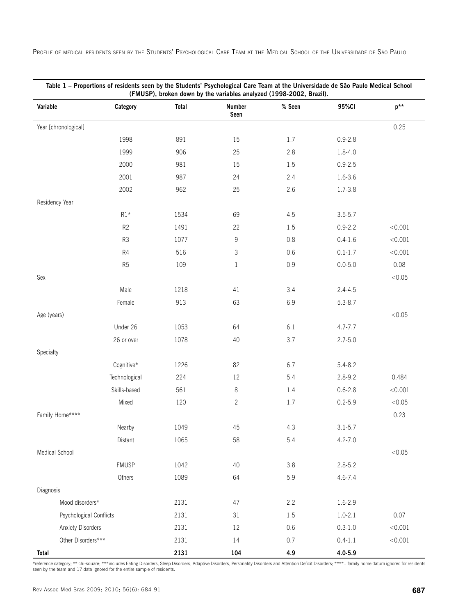|  |  | Profile of medical residents seen by the Students' Psychological Care Team at the Medical School of the Universidade de São Paulo |
|--|--|-----------------------------------------------------------------------------------------------------------------------------------|
|--|--|-----------------------------------------------------------------------------------------------------------------------------------|

| Table 1 - Proportions of residents seen by the Students' Psychological Care Team at the Universidade de São Paulo Medical School<br>(FMUSP), broken down by the variables analyzed (1998-2002, Brazil). |                |              |                       |         |             |                           |
|---------------------------------------------------------------------------------------------------------------------------------------------------------------------------------------------------------|----------------|--------------|-----------------------|---------|-------------|---------------------------|
| Variable                                                                                                                                                                                                | Category       | <b>Total</b> | <b>Number</b><br>Seen | % Seen  | 95%CI       | $\mathsf{p}^{\star\star}$ |
| Year [chronological]                                                                                                                                                                                    |                |              |                       |         |             | 0.25                      |
|                                                                                                                                                                                                         | 1998           | 891          | 15                    | 1.7     | $0.9 - 2.8$ |                           |
|                                                                                                                                                                                                         | 1999           | 906          | 25                    | 2.8     | 1.8-4.0     |                           |
|                                                                                                                                                                                                         | 2000           | 981          | $15\,$                | 1.5     | $0.9 - 2.5$ |                           |
|                                                                                                                                                                                                         | 2001           | 987          | 24                    | 2.4     | 1.6-3.6     |                           |
|                                                                                                                                                                                                         | 2002           | 962          | 25                    | 2.6     | $1.7 - 3.8$ |                           |
| Residency Year                                                                                                                                                                                          |                |              |                       |         |             |                           |
|                                                                                                                                                                                                         | $R1*$          | 1534         | 69                    | 4.5     | $3.5 - 5.7$ |                           |
|                                                                                                                                                                                                         | R <sub>2</sub> | 1491         | 22                    | 1.5     | $0.9 - 2.2$ | < 0.001                   |
|                                                                                                                                                                                                         | R3             | 1077         | 9                     | $0.8\,$ | $0.4 - 1.6$ | < 0.001                   |
|                                                                                                                                                                                                         | R4             | 516          | 3                     | 0.6     | $0.1 - 1.7$ | < 0.001                   |
|                                                                                                                                                                                                         | R <sub>5</sub> | 109          | $\mathbf{1}$          | 0.9     | $0.0 - 5.0$ | 0.08                      |
| Sex                                                                                                                                                                                                     |                |              |                       |         |             | < 0.05                    |
|                                                                                                                                                                                                         | Male           | 1218         | 41                    | 3.4     | $2.4 - 4.5$ |                           |
|                                                                                                                                                                                                         | Female         | 913          | 63                    | 6.9     | $5.3 - 8.7$ |                           |
| Age (years)                                                                                                                                                                                             |                |              |                       |         |             | < 0.05                    |
|                                                                                                                                                                                                         | Under 26       | 1053         | 64                    | $6.1\,$ | $4.7 - 7.7$ |                           |
|                                                                                                                                                                                                         | 26 or over     | 1078         | 40                    | $3.7\,$ | $2.7 - 5.0$ |                           |
| Specialty                                                                                                                                                                                               |                |              |                       |         |             |                           |
|                                                                                                                                                                                                         | Cognitive*     | 1226         | 82                    | 6.7     | $5.4 - 8.2$ |                           |
|                                                                                                                                                                                                         | Technological  | 224          | 12                    | 5.4     | $2.8 - 9.2$ | 0.484                     |
|                                                                                                                                                                                                         | Skills-based   | 561          | 8                     | 1.4     | $0.6 - 2.8$ | < 0.001                   |
|                                                                                                                                                                                                         | Mixed          | 120          | $\mathbf{2}$          | 1.7     | $0.2 - 5.9$ | < 0.05                    |
| Family Home****                                                                                                                                                                                         |                |              |                       |         |             | 0.23                      |
|                                                                                                                                                                                                         | Nearby         | 1049         | 45                    | 4.3     | $3.1 - 5.7$ |                           |
|                                                                                                                                                                                                         | Distant        | 1065         | 58                    | 5.4     | $4.2 - 7.0$ |                           |
| Medical School                                                                                                                                                                                          |                |              |                       |         |             | < 0.05                    |
|                                                                                                                                                                                                         | <b>FMUSP</b>   | 1042         | 40                    | 3.8     | $2.8 - 5.2$ |                           |
|                                                                                                                                                                                                         | Others         | 1089         | 64                    | 5.9     | $4.6 - 7.4$ |                           |
| Diagnosis                                                                                                                                                                                               |                |              |                       |         |             |                           |
| Mood disorders*                                                                                                                                                                                         |                | 2131         | 47                    | 2.2     | 1.6-2.9     |                           |
| Psychological Conflicts                                                                                                                                                                                 |                | 2131         | 31                    | 1.5     | $1.0 - 2.1$ | 0.07                      |
| Anxiety Disorders                                                                                                                                                                                       |                | 2131         | 12                    | 0.6     | $0.3 - 1.0$ | < 0.001                   |
| Other Disorders***                                                                                                                                                                                      |                | 2131         | 14                    | 0.7     | $0.4 - 1.1$ | < 0.001                   |
| Total                                                                                                                                                                                                   |                | 2131         | 104                   | 4.9     | $4.0 - 5.9$ |                           |

\*reference category; \*\* chi-square; \*\*\*includes Eating Disorders, Sleep Disorders, Adaptive Disorders, Personality Disorders and Attention Deficit Disorders; \*\*\*\*1 family home datum ignored for residents<br>seen by the team a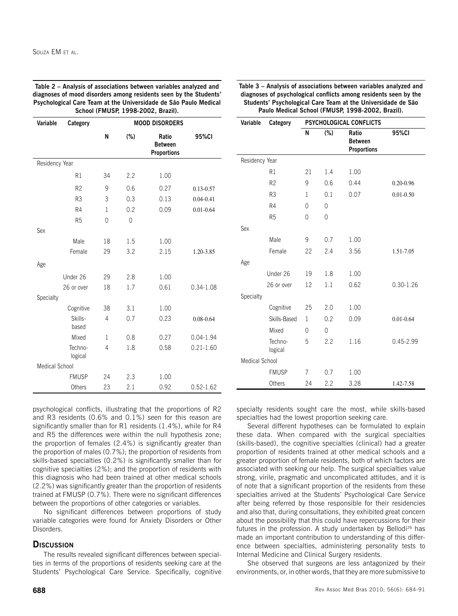| choor (1 moor, 1990-2002, Brazil). |                    |                       |        |                                               |               |
|------------------------------------|--------------------|-----------------------|--------|-----------------------------------------------|---------------|
| Variable                           | Category           | <b>MOOD DISORDERS</b> |        |                                               |               |
|                                    |                    | N                     | $(\%)$ | Ratio<br><b>Between</b><br><b>Proportions</b> | 95%CI         |
| Residency Year                     |                    |                       |        |                                               |               |
|                                    | R1                 | 34                    | 2.2    | 1.00                                          |               |
|                                    | R <sub>2</sub>     | 9                     | 0.6    | 0.27                                          | $0.13 - 0.57$ |
|                                    | R3                 | 3                     | 0.3    | 0.13                                          | $0.04 - 0.41$ |
|                                    | R4                 | 1                     | 0.2    | 0.09                                          | $0.01 - 0.64$ |
|                                    | R <sub>5</sub>     | 0                     | 0      |                                               |               |
| Sex                                |                    |                       |        |                                               |               |
|                                    | Male               | 18                    | 1.5    | 1.00                                          |               |
|                                    | Female             | 29                    | 3.2    | 2.15                                          | 1.20-3.85     |
| Age                                |                    |                       |        |                                               |               |
|                                    | Under 26           | 29                    | 2.8    | 1.00                                          |               |
|                                    | 26 or over         | 18                    | 1.7    | 0.61                                          | $0.34 - 1.08$ |
| Specialty                          |                    |                       |        |                                               |               |
|                                    | Cognitive          | 38                    | 3.1    | 1.00                                          |               |
|                                    | Skills-<br>based   | 4                     | 0.7    | 0.23                                          | $0.08 - 0.64$ |
|                                    | Mixed              | $\mathbf{1}$          | 0.8    | 0.27                                          | $0.04 - 1.94$ |
|                                    | Techno-<br>logical | 4                     | 1.8    | 0.58                                          | $0.21 - 1.60$ |
| <b>Medical School</b>              |                    |                       |        |                                               |               |
|                                    | <b>FMUSP</b>       | 24                    | 2.3    | 1.00                                          |               |
|                                    | Others             | 23                    | 2.1    | 0.92                                          | $0.52 - 1.62$ |

**Table 2 – Analysis of associations between variables analyzed and diagnoses of mood disorders among residents seen by the Students' Psychological Care Team at the Universidade de São Paulo Medical School (FMUSP, 1998-2002, Brazil).**

| Variable       | Category           | PSYCHOLOGICAL CONFLICTS |        |                                               |               |
|----------------|--------------------|-------------------------|--------|-----------------------------------------------|---------------|
|                |                    | N                       | $(\%)$ | Ratio<br><b>Between</b><br><b>Proportions</b> | 95%CI         |
| Residency Year |                    |                         |        |                                               |               |
|                | R1                 | 21                      | 1.4    | 1.00                                          |               |
|                | R <sub>2</sub>     | 9                       | 0.6    | 0.44                                          | $0.20 - 0.96$ |
|                | R3                 | $\mathbf{1}$            | 0.1    | 0.07                                          | $0.01 - 0.50$ |
|                | R4                 | 0                       | 0      |                                               |               |
|                | R <sub>5</sub>     | 0                       | 0      |                                               |               |
| Sex            |                    |                         |        |                                               |               |
|                | Male               | 9                       | 0.7    | 1.00                                          |               |
|                | Female             | 22                      | 2.4    | 3.56                                          | 1.51-7.05     |
| Age            |                    |                         |        |                                               |               |
|                | Under 26           | 19                      | 1.8    | 1.00                                          |               |
|                | 26 or over         | 12                      | 1.1    | 0.62                                          | $0.30 - 1.26$ |
| Specialty      |                    |                         |        |                                               |               |
|                | Cognitive          | 25                      | 2.0    | 1.00                                          |               |
|                | Skills-Based       | 1                       | 0.2    | 0.09                                          | $0.01 - 0.64$ |
|                | Mixed              | 0                       | 0      |                                               |               |
|                | Techno-<br>logical | 5                       | 2.2    | 1.16                                          | $0.45 - 2.99$ |
| Medical School |                    |                         |        |                                               |               |
|                | <b>FMUSP</b>       | 7                       | 0.7    | 1.00                                          |               |
|                | Others             | 24                      | 2.2    | 3.28                                          | 1.42-7.58     |

**Table 3 – Analysis of associations between variables analyzed and diagnoses of psychological conflicts among residents seen by the Students' Psychological Care Team at the Universidade de São Paulo Medical School (FMUSP, 1998-2002, Brazil).**

psychological conflicts, illustrating that the proportions of R2 and R3 residents (0.6% and 0.1%) seen for this reason are significantly smaller than for R1 residents (1.4%), while for R4 and R5 the differences were within the null hypothesis zone; the proportion of females (2.4%) is significantly greater than the proportion of males (0.7%); the proportion of residents from skills-based specialties (0.2%) is significantly smaller than for cognitive specialties (2%); and the proportion of residents with this diagnosis who had been trained at other medical schools (2.2%) was significantly greater than the proportion of residents trained at FMUSP (0.7%). There were no significant differences between the proportions of other categories or variables.

No significant differences between proportions of study variable categories were found for Anxiety Disorders or Other Disorders.

# **Discussion**

The results revealed significant differences between specialties in terms of the proportions of residents seeking care at the Students' Psychological Care Service. Specifically, cognitive specialty residents sought care the most, while skills-based specialties had the lowest proportion seeking care.

Several different hypotheses can be formulated to explain these data. When compared with the surgical specialties (skills-based), the cognitive specialties (clinical) had a greater proportion of residents trained at other medical schools and a greater proportion of female residents, both of which factors are associated with seeking our help. The surgical specialties value strong, virile, pragmatic and uncomplicated attitudes, and it is of note that a significant proportion of the residents from these specialties arrived at the Students' Psychological Care Service after being referred by those responsible for their residencies and also that, during consultations, they exhibited great concern about the possibility that this could have repercussions for their futures in the profession. A study undertaken by Bellodi<sup>26</sup> has made an important contribution to understanding of this difference between specialties, administering personality tests to Internal Medicine and Clinical Surgery residents.

She observed that surgeons are less antagonized by their environments, or, in other words, that they are more submissive to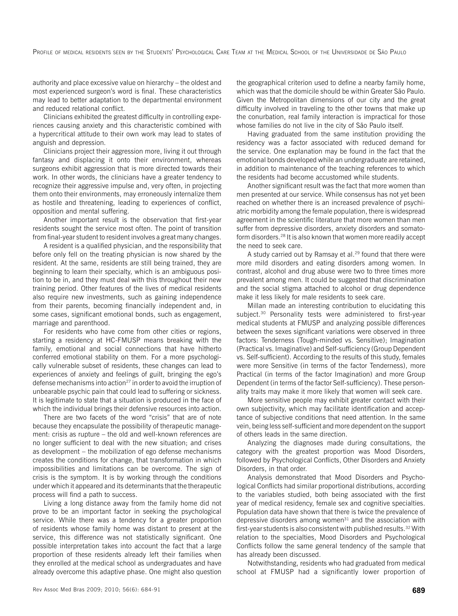authority and place excessive value on hierarchy – the oldest and most experienced surgeon's word is final. These characteristics may lead to better adaptation to the departmental environment and reduced relational conflict.

Clinicians exhibited the greatest difficulty in controlling experiences causing anxiety and this characteristic combined with a hypercritical attitude to their own work may lead to states of anguish and depression.

Clinicians project their aggression more, living it out through fantasy and displacing it onto their environment, whereas surgeons exhibit aggression that is more directed towards their work. In other words, the clinicians have a greater tendency to recognize their aggressive impulse and, very often, in projecting them onto their environments, may erroneously internalize them as hostile and threatening, leading to experiences of conflict, opposition and mental suffering.

Another important result is the observation that first-year residents sought the service most often. The point of transition from final-year student to resident involves a great many changes.

A resident is a qualified physician, and the responsibility that before only fell on the treating physician is now shared by the resident. At the same, residents are still being trained, they are beginning to learn their specialty, which is an ambiguous position to be in, and they must deal with this throughout their new training period. Other features of the lives of medical residents also require new investments, such as gaining independence from their parents, becoming financially independent and, in some cases, significant emotional bonds, such as engagement, marriage and parenthood.

For residents who have come from other cities or regions, starting a residency at HC-FMUSP means breaking with the family, emotional and social connections that have hitherto conferred emotional stability on them. For a more psychologically vulnerable subset of residents, these changes can lead to experiences of anxiety and feelings of guilt, bringing the ego's defense mechanisms into action<sup>27</sup> in order to avoid the irruption of unbearable psychic pain that could lead to suffering or sickness. It is legitimate to state that a situation is produced in the face of which the individual brings their defensive resources into action.

There are two facets of the word "crisis" that are of note because they encapsulate the possibility of therapeutic management: crisis as rupture – the old and well-known references are no longer sufficient to deal with the new situation; and crises as development – the mobilization of ego defense mechanisms creates the conditions for change, that transformation in which impossibilities and limitations can be overcome. The sign of crisis is the symptom. It is by working through the conditions under which it appeared and its determinants that the therapeutic process will find a path to success.

Living a long distance away from the family home did not prove to be an important factor in seeking the psychological service. While there was a tendency for a greater proportion of residents whose family home was distant to present at the service, this difference was not statistically significant. One possible interpretation takes into account the fact that a large proportion of these residents already left their families when they enrolled at the medical school as undergraduates and have already overcome this adaptive phase. One might also question

the geographical criterion used to define a nearby family home, which was that the domicile should be within Greater São Paulo. Given the Metropolitan dimensions of our city and the great difficulty involved in traveling to the other towns that make up the conurbation, real family interaction is impractical for those whose families do not live in the city of São Paulo itself.

Having graduated from the same institution providing the residency was a factor associated with reduced demand for the service. One explanation may be found in the fact that the emotional bonds developed while an undergraduate are retained, in addition to maintenance of the teaching references to which the residents had become accustomed while students.

Another significant result was the fact that more women than men presented at our service. While consensus has not yet been reached on whether there is an increased prevalence of psychiatric morbidity among the female population, there is widespread agreement in the scientific literature that more women than men suffer from depressive disorders, anxiety disorders and somatoform disorders.<sup>28</sup> It is also known that women more readily accept the need to seek care.

A study carried out by Ramsay et al.<sup>29</sup> found that there were more mild disorders and eating disorders among women. In contrast, alcohol and drug abuse were two to three times more prevalent among men. It could be suggested that discrimination and the social stigma attached to alcohol or drug dependence make it less likely for male residents to seek care.

Millan made an interesting contribution to elucidating this subject.<sup>30</sup> Personality tests were administered to first-year medical students at FMUSP and analyzing possible differences between the sexes significant variations were observed in three factors: Tenderness (Tough-minded vs. Sensitive); Imagination (Practical vs. Imaginative) and Self-sufficiency (Group Dependent vs. Self-sufficient). According to the results of this study, females were more Sensitive (in terms of the factor Tenderness), more Practical (in terms of the factor Imagination) and more Group Dependent (in terms of the factor Self-sufficiency). These personality traits may make it more likely that women will seek care.

More sensitive people may exhibit greater contact with their own subjectivity, which may facilitate identification and acceptance of subjective conditions that need attention. In the same vein, being less self-sufficient and more dependent on the support of others leads in the same direction.

Analyzing the diagnoses made during consultations, the category with the greatest proportion was Mood Disorders, followed by Psychological Conflicts, Other Disorders and Anxiety Disorders, in that order.

Analysis demonstrated that Mood Disorders and Psychological Conflicts had similar proportional distributions, according to the variables studied, both being associated with the first year of medical residency, female sex and cognitive specialties. Population data have shown that there is twice the prevalence of depressive disorders among women $31$  and the association with first-year students is also consistent with published results.<sup>32</sup> With relation to the specialties, Mood Disorders and Psychological Conflicts follow the same general tendency of the sample that has already been discussed.

Notwithstanding, residents who had graduated from medical school at FMUSP had a significantly lower proportion of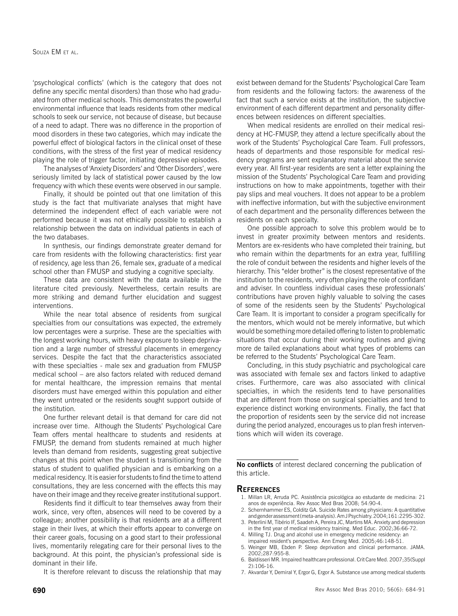'psychological conflicts' (which is the category that does not define any specific mental disorders) than those who had graduated from other medical schools. This demonstrates the powerful environmental influence that leads residents from other medical schools to seek our service, not because of disease, but because of a need to adapt. There was no difference in the proportion of mood disorders in these two categories, which may indicate the powerful effect of biological factors in the clinical onset of these conditions, with the stress of the first year of medical residency playing the role of trigger factor, initiating depressive episodes.

The analyses of 'Anxiety Disorders' and 'Other Disorders', were seriously limited by lack of statistical power caused by the low frequency with which these events were observed in our sample.

Finally, it should be pointed out that one limitation of this study is the fact that multivariate analyses that might have determined the independent effect of each variable were not performed because it was not ethically possible to establish a relationship between the data on individual patients in each of the two databases.

In synthesis, our findings demonstrate greater demand for care from residents with the following characteristics: first year of residency, age less than 26, female sex, graduate of a medical school other than FMUSP and studying a cognitive specialty.

These data are consistent with the data available in the literature cited previously. Nevertheless, certain results are more striking and demand further elucidation and suggest interventions.

While the near total absence of residents from surgical specialties from our consultations was expected, the extremely low percentages were a surprise. These are the specialties with the longest working hours, with heavy exposure to sleep deprivation and a large number of stressful placements in emergency services. Despite the fact that the characteristics associated with these specialties - male sex and graduation from FMUSP medical school – are also factors related with reduced demand for mental healthcare, the impression remains that mental disorders must have emerged within this population and either they went untreated or the residents sought support outside of the institution.

One further relevant detail is that demand for care did not increase over time. Although the Students' Psychological Care Team offers mental healthcare to students and residents at FMUSP, the demand from students remained at much higher levels than demand from residents, suggesting great subjective changes at this point when the student is transitioning from the status of student to qualified physician and is embarking on a medical residency. It is easier for students to find the time to attend consultations, they are less concerned with the effects this may have on their image and they receive greater institutional support.

Residents find it difficult to tear themselves away from their work, since, very often, absences will need to be covered by a colleague; another possibility is that residents are at a different stage in their lives, at which their efforts appear to converge on their career goals, focusing on a good start to their professional lives, momentarily relegating care for their personal lives to the background. At this point, the physician's professional side is dominant in their life.

It is therefore relevant to discuss the relationship that may

exist between demand for the Students' Psychological Care Team from residents and the following factors: the awareness of the fact that such a service exists at the institution, the subjective environment of each different department and personality differences between residences on different specialties.

When medical residents are enrolled on their medical residency at HC-FMUSP, they attend a lecture specifically about the work of the Students' Psychological Care Team. Full professors, heads of departments and those responsible for medical residency programs are sent explanatory material about the service every year. All first-year residents are sent a letter explaining the mission of the Students' Psychological Care Team and providing instructions on how to make appointments, together with their pay slips and meal vouchers. It does not appear to be a problem with ineffective information, but with the subjective environment of each department and the personality differences between the residents on each specialty.

One possible approach to solve this problem would be to invest in greater proximity between mentors and residents. Mentors are ex-residents who have completed their training, but who remain within the departments for an extra year, fulfilling the role of conduit between the residents and higher levels of the hierarchy. This "elder brother" is the closest representative of the institution to the residents, very often playing the role of confidant and adviser. In countless individual cases these professionals' contributions have proven highly valuable to solving the cases of some of the residents seen by the Students' Psychological Care Team. It is important to consider a program specifically for the mentors, which would not be merely informative, but which would be something more detailed offering to listen to problematic situations that occur during their working routines and giving more de tailed explanations about what types of problems can be referred to the Students' Psychological Care Team.

Concluding, in this study psychiatric and psychological care was associated with female sex and factors linked to adaptive crises. Furthermore, care was also associated with clinical specialties, in which the residents tend to have personalities that are different from those on surgical specialties and tend to experience distinct working environments. Finally, the fact that the proportion of residents seen by the service did not increase during the period analyzed, encourages us to plan fresh interventions which will widen its coverage.

**No conflicts** of interest declared concerning the publication of this article.

#### **References**

- 1. Millan LR, Arruda PC. Assistência psicológica ao estudante de medicina: 21 anos de experiência. Rev Assoc Med Bras 2008; 54:90-4.
- 2. Schernhammer ES, Colditz GA. Suicide Rates among physicians: A quantitative and gender assessment (meta-analysis). Am J Psychiatry. 2004;161:2295-302.
- 3. Peterlini M, Tibério IF, Saadeh A, Pereira JC, Martins MA. Anxiety and depression in the first year of medical residency training. Med Educ. 2002;36:66-72.
- 4. Milling TJ. Drug and alcohol use in emergency medicine residency: an impaired resident's perspective. Ann Emerg Med. 2005;46:148-51.
- 5. Weinger MB, Ebden P. Sleep deprivation and clinical performance. JAMA. 2002;287:955-8.
- 6. Baldisseri MR. Impaired healthcare professional. Crit Care Med. 2007;35(Suppl 2):106-16.
- 7. Akvardar Y, Demiral Y, Ergor G, Ergor A. Substance use among medical students